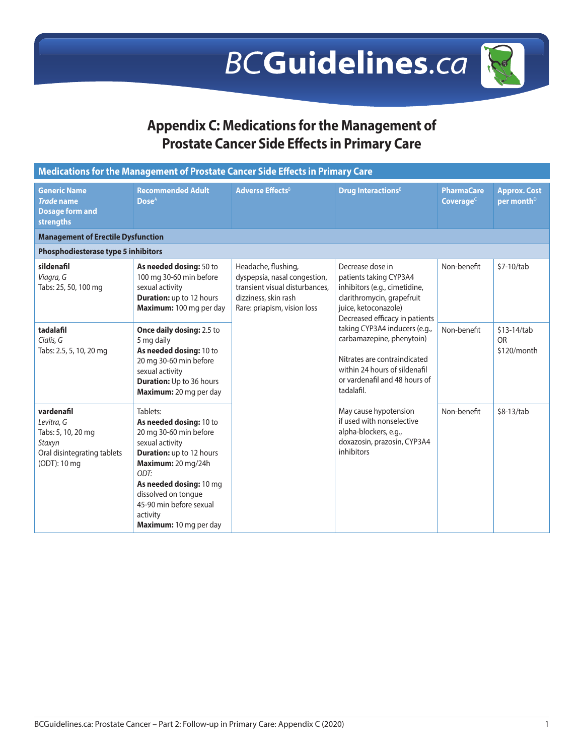## **BCGuidelines.ca**

## **Appendix C: Medications for the Management of Prostate Cancer Side Effects in Primary Care**

| Medications for the Management of Prostate Cancer Side Effects in Primary Care                          |                                                                                                                                                                                                                                                                      |                                                                                                                                              |                                                                                                                                                                            |                                            |                                               |  |
|---------------------------------------------------------------------------------------------------------|----------------------------------------------------------------------------------------------------------------------------------------------------------------------------------------------------------------------------------------------------------------------|----------------------------------------------------------------------------------------------------------------------------------------------|----------------------------------------------------------------------------------------------------------------------------------------------------------------------------|--------------------------------------------|-----------------------------------------------|--|
| <b>Generic Name</b><br><b>Trade name</b><br><b>Dosage form and</b><br>strengths                         | <b>Recommended Adult</b><br>Dose <sup>A</sup>                                                                                                                                                                                                                        | <b>Adverse Effects<sup>B</sup></b>                                                                                                           | <b>Drug Interactions</b> <sup>8</sup>                                                                                                                                      | <b>PharmaCare</b><br>Coverage <sup>c</sup> | <b>Approx. Cost</b><br>per month <sup>D</sup> |  |
| <b>Management of Erectile Dysfunction</b>                                                               |                                                                                                                                                                                                                                                                      |                                                                                                                                              |                                                                                                                                                                            |                                            |                                               |  |
| <b>Phosphodiesterase type 5 inhibitors</b>                                                              |                                                                                                                                                                                                                                                                      |                                                                                                                                              |                                                                                                                                                                            |                                            |                                               |  |
| sildenafil<br>Viagra, G<br>Tabs: 25, 50, 100 mg                                                         | As needed dosing: 50 to<br>100 mg 30-60 min before<br>sexual activity<br><b>Duration:</b> up to 12 hours<br>Maximum: 100 mg per day                                                                                                                                  | Headache, flushing,<br>dyspepsia, nasal congestion,<br>transient visual disturbances.<br>dizziness, skin rash<br>Rare: priapism, vision loss | Decrease dose in<br>patients taking CYP3A4<br>inhibitors (e.g., cimetidine,<br>clarithromycin, grapefruit<br>juice, ketoconazole)<br>Decreased efficacy in patients        | Non-benefit                                | \$7-10/tab                                    |  |
| tadalafil<br>Cialis, G<br>Tabs: 2.5, 5, 10, 20 mg                                                       | Once daily dosing: 2.5 to<br>5 mg daily<br>As needed dosing: 10 to<br>20 mg 30-60 min before<br>sexual activity<br><b>Duration:</b> Up to 36 hours<br>Maximum: 20 mg per day                                                                                         |                                                                                                                                              | taking CYP3A4 inducers (e.g.,<br>carbamazepine, phenytoin)<br>Nitrates are contraindicated<br>within 24 hours of sildenafil<br>or vardenafil and 48 hours of<br>tadalafil. | Non-benefit                                | \$13-14/tab<br><b>OR</b><br>\$120/month       |  |
| vardenafil<br>Levitra, G<br>Tabs: 5, 10, 20 mg<br>Staxyn<br>Oral disintegrating tablets<br>(ODT): 10 mg | Tablets:<br>As needed dosing: 10 to<br>20 mg 30-60 min before<br>sexual activity<br><b>Duration:</b> up to 12 hours<br>Maximum: 20 mg/24h<br>ODT:<br>As needed dosing: 10 mg<br>dissolved on tonque<br>45-90 min before sexual<br>activity<br>Maximum: 10 mg per day |                                                                                                                                              | May cause hypotension<br>if used with nonselective<br>alpha-blockers, e.g.,<br>doxazosin, prazosin, CYP3A4<br>inhibitors                                                   | Non-benefit                                | \$8-13/tab                                    |  |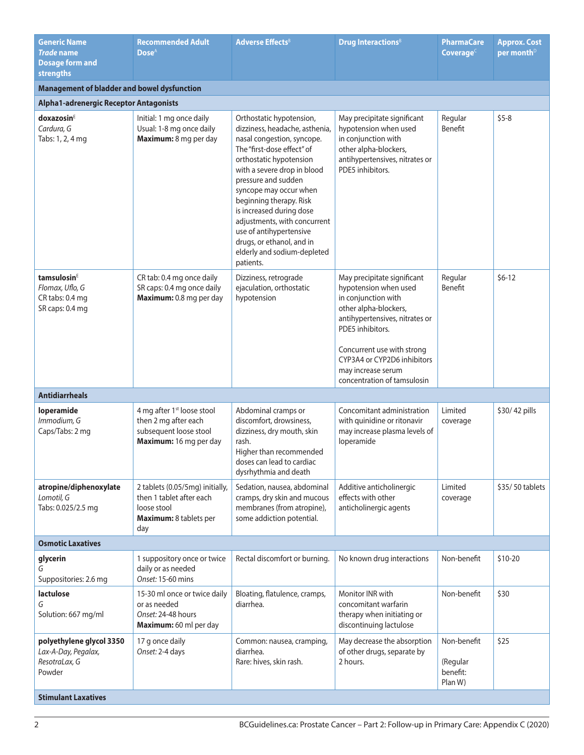| <b>Generic Name</b><br><b>Trade name</b><br><b>Dosage form and</b><br><b>strengths</b> | <b>Recommended Adult</b><br>$\bf{Dose}^A$                                                                          | <b>Adverse Effects</b> <sup>8</sup>                                                                                                                                                                                                                                                                                                                                                                                          | <b>Drug Interactions</b> <sup>8</sup>                                                                                                                                                                                                                                        | <b>PharmaCare</b><br>Coverage $c$              | <b>Approx. Cost</b><br>per month <sup>D</sup> |
|----------------------------------------------------------------------------------------|--------------------------------------------------------------------------------------------------------------------|------------------------------------------------------------------------------------------------------------------------------------------------------------------------------------------------------------------------------------------------------------------------------------------------------------------------------------------------------------------------------------------------------------------------------|------------------------------------------------------------------------------------------------------------------------------------------------------------------------------------------------------------------------------------------------------------------------------|------------------------------------------------|-----------------------------------------------|
| <b>Management of bladder and bowel dysfunction</b>                                     |                                                                                                                    |                                                                                                                                                                                                                                                                                                                                                                                                                              |                                                                                                                                                                                                                                                                              |                                                |                                               |
| Alpha1-adrenergic Receptor Antagonists                                                 |                                                                                                                    |                                                                                                                                                                                                                                                                                                                                                                                                                              |                                                                                                                                                                                                                                                                              |                                                |                                               |
| doxazosin <sup>E</sup><br>Cardura, G<br>Tabs: 1, 2, 4 mg                               | Initial: 1 mg once daily<br>Usual: 1-8 mg once daily<br>Maximum: 8 mg per day                                      | Orthostatic hypotension,<br>dizziness, headache, asthenia,<br>nasal congestion, syncope.<br>The "first-dose effect" of<br>orthostatic hypotension<br>with a severe drop in blood<br>pressure and sudden<br>syncope may occur when<br>beginning therapy. Risk<br>is increased during dose<br>adjustments, with concurrent<br>use of antihypertensive<br>drugs, or ethanol, and in<br>elderly and sodium-depleted<br>patients. | May precipitate significant<br>hypotension when used<br>in conjunction with<br>other alpha-blockers,<br>antihypertensives, nitrates or<br>PDE5 inhibitors.                                                                                                                   | Regular<br>Benefit                             | $$5-8$                                        |
| tamsulosin <sup>E</sup><br>Flomax, Uflo, G<br>CR tabs: 0.4 mg<br>SR caps: 0.4 mg       | CR tab: 0.4 mg once daily<br>SR caps: 0.4 mg once daily<br>Maximum: 0.8 mg per day                                 | Dizziness, retrograde<br>ejaculation, orthostatic<br>hypotension                                                                                                                                                                                                                                                                                                                                                             | May precipitate significant<br>hypotension when used<br>in conjunction with<br>other alpha-blockers,<br>antihypertensives, nitrates or<br>PDE5 inhibitors.<br>Concurrent use with strong<br>CYP3A4 or CYP2D6 inhibitors<br>may increase serum<br>concentration of tamsulosin | Regular<br>Benefit                             | $$6-12$                                       |
| <b>Antidiarrheals</b>                                                                  |                                                                                                                    |                                                                                                                                                                                                                                                                                                                                                                                                                              |                                                                                                                                                                                                                                                                              |                                                |                                               |
| loperamide<br>Immodium, G<br>Caps/Tabs: 2 mg                                           | 4 mg after 1 <sup>st</sup> loose stool<br>then 2 mg after each<br>subsequent loose stool<br>Maximum: 16 mg per day | Abdominal cramps or<br>discomfort, drowsiness,<br>dizziness, dry mouth, skin<br>rash.<br>Higher than recommended<br>doses can lead to cardiac<br>dysrhythmia and death                                                                                                                                                                                                                                                       | Concomitant administration<br>with quinidine or ritonavir<br>may increase plasma levels of<br>loperamide                                                                                                                                                                     | Limited<br>coverage                            | \$30/42 pills                                 |
| atropine/diphenoxylate<br>Lomotil, G<br>Tabs: 0.025/2.5 mg                             | 2 tablets (0.05/5mg) initially,<br>then 1 tablet after each<br>loose stool<br>Maximum: 8 tablets per<br>day        | Sedation, nausea, abdominal<br>cramps, dry skin and mucous<br>membranes (from atropine),<br>some addiction potential.                                                                                                                                                                                                                                                                                                        | Additive anticholinergic<br>effects with other<br>anticholinergic agents                                                                                                                                                                                                     | Limited<br>coverage                            | \$35/50 tablets                               |
| <b>Osmotic Laxatives</b>                                                               |                                                                                                                    |                                                                                                                                                                                                                                                                                                                                                                                                                              |                                                                                                                                                                                                                                                                              |                                                |                                               |
| glycerin<br>G<br>Suppositories: 2.6 mg                                                 | 1 suppository once or twice<br>daily or as needed<br>Onset: 15-60 mins                                             | Rectal discomfort or burning.                                                                                                                                                                                                                                                                                                                                                                                                | No known drug interactions                                                                                                                                                                                                                                                   | Non-benefit                                    | $$10-20$                                      |
| lactulose<br>G<br>Solution: 667 mg/ml                                                  | 15-30 ml once or twice daily<br>or as needed<br>Onset: 24-48 hours<br>Maximum: 60 ml per day                       | Bloating, flatulence, cramps,<br>diarrhea.                                                                                                                                                                                                                                                                                                                                                                                   | Monitor INR with<br>concomitant warfarin<br>therapy when initiating or<br>discontinuing lactulose                                                                                                                                                                            | Non-benefit                                    | \$30                                          |
| polyethylene glycol 3350<br>Lax-A-Day, Pegalax,<br>ResotraLax, G<br>Powder             | 17 g once daily<br>Onset: 2-4 days                                                                                 | Common: nausea, cramping,<br>diarrhea.<br>Rare: hives, skin rash.                                                                                                                                                                                                                                                                                                                                                            | May decrease the absorption<br>of other drugs, separate by<br>2 hours.                                                                                                                                                                                                       | Non-benefit<br>(Regular<br>benefit:<br>Plan W) | \$25                                          |

**Stimulant Laxatives**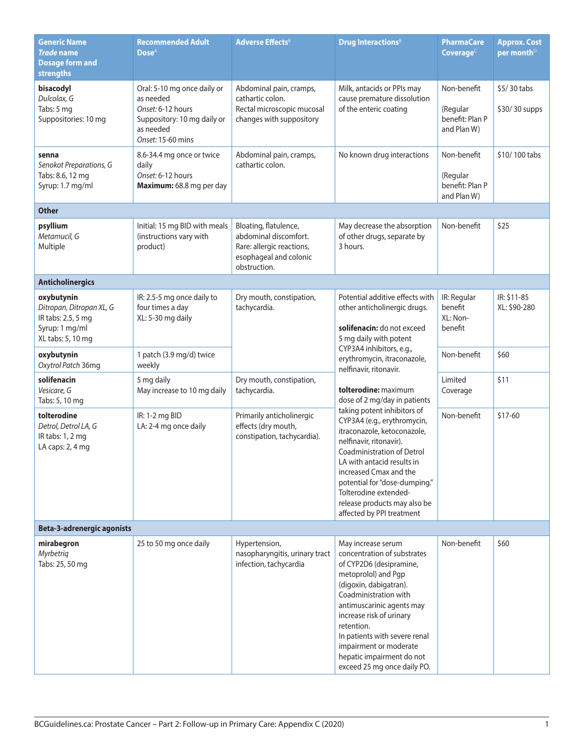| <b>Generic Name</b><br><b>Trade name</b><br><b>Dosage form and</b><br><b>strengths</b>              | <b>Recommended Adult</b><br>Dose <sup>A</sup>                                                                                  | <b>Adverse Effects</b> <sup>B</sup>                                                                                   | Drug Interactions <sup>8</sup>                                                                                                                                                                                                                                                                                                                                                                                                                                                                                                                                                                            | PharmaCare<br>Coverage <sup>c</sup>                       | <b>Approx. Cost</b><br>per month <sup>D</sup> |
|-----------------------------------------------------------------------------------------------------|--------------------------------------------------------------------------------------------------------------------------------|-----------------------------------------------------------------------------------------------------------------------|-----------------------------------------------------------------------------------------------------------------------------------------------------------------------------------------------------------------------------------------------------------------------------------------------------------------------------------------------------------------------------------------------------------------------------------------------------------------------------------------------------------------------------------------------------------------------------------------------------------|-----------------------------------------------------------|-----------------------------------------------|
| bisacodyl<br>Dulcolax, G<br>Tabs: 5 mg<br>Suppositories: 10 mg                                      | Oral: 5-10 mg once daily or<br>as needed<br>Onset: 6-12 hours<br>Suppository: 10 mg daily or<br>as needed<br>Onset: 15-60 mins | Abdominal pain, cramps,<br>cathartic colon.<br>Rectal microscopic mucosal<br>changes with suppository                 | Milk, antacids or PPIs may<br>cause premature dissolution<br>of the enteric coating                                                                                                                                                                                                                                                                                                                                                                                                                                                                                                                       | Non-benefit<br>(Regular<br>benefit: Plan P<br>and Plan W) | \$5/30 tabs<br>\$30/30 supps                  |
| senna<br>Senokot Preparations, G<br>Tabs: 8.6, 12 mg<br>Syrup: 1.7 mg/ml                            | 8.6-34.4 mg once or twice<br>daily<br>Onset: 6-12 hours<br>Maximum: 68.8 mg per day                                            | Abdominal pain, cramps,<br>cathartic colon.                                                                           | No known drug interactions                                                                                                                                                                                                                                                                                                                                                                                                                                                                                                                                                                                | Non-benefit<br>(Regular<br>benefit: Plan P<br>and Plan W) | \$10/100 tabs                                 |
| <b>Other</b>                                                                                        |                                                                                                                                |                                                                                                                       |                                                                                                                                                                                                                                                                                                                                                                                                                                                                                                                                                                                                           |                                                           |                                               |
| psyllium<br>Metamucil, G<br>Multiple                                                                | Initial: 15 mg BID with meals<br>(instructions vary with<br>product)                                                           | Bloating, flatulence,<br>abdominal discomfort.<br>Rare: allergic reactions,<br>esophageal and colonic<br>obstruction. | May decrease the absorption<br>of other drugs, separate by<br>3 hours.                                                                                                                                                                                                                                                                                                                                                                                                                                                                                                                                    | Non-benefit                                               | \$25                                          |
| <b>Anticholinergics</b>                                                                             |                                                                                                                                |                                                                                                                       |                                                                                                                                                                                                                                                                                                                                                                                                                                                                                                                                                                                                           |                                                           |                                               |
| oxybutynin<br>Ditropan, Ditropan XL, G<br>IR tabs: 2.5, 5 mg<br>Syrup: 1 mg/ml<br>XL tabs: 5, 10 mg | IR: 2.5-5 mg once daily to<br>four times a day<br>XL: 5-30 mg daily                                                            | Dry mouth, constipation,<br>tachycardia.                                                                              | Potential additive effects with<br>other anticholinergic drugs.<br>solifenacin: do not exceed<br>5 mg daily with potent<br>CYP3A4 inhibitors, e.g.,<br>erythromycin, itraconazole,<br>nelfinavir, ritonavir.<br>tolterodine: maximum<br>dose of 2 mg/day in patients<br>taking potent inhibitors of<br>CYP3A4 (e.g., erythromycin,<br>itraconazole, ketoconazole,<br>nelfinavir, ritonavir).<br>Coadministration of Detrol<br>LA with antacid results in<br>increased Cmax and the<br>potential for "dose-dumping."<br>Tolterodine extended-<br>release products may also be<br>affected by PPI treatment | IR: Regular<br>benefit<br>XL: Non-<br>benefit             | IR: \$11-85<br>XL: \$90-280                   |
| oxybutynin<br>Oxytrol Patch 36mg                                                                    | 1 patch (3.9 mg/d) twice<br>weekly                                                                                             |                                                                                                                       |                                                                                                                                                                                                                                                                                                                                                                                                                                                                                                                                                                                                           | Non-benefit                                               | \$60                                          |
| solifenacin<br>Vesicare, G<br>Tabs: 5, 10 mg                                                        | 5 mg daily<br>May increase to 10 mg daily                                                                                      | Dry mouth, constipation,<br>tachycardia.                                                                              |                                                                                                                                                                                                                                                                                                                                                                                                                                                                                                                                                                                                           | Limited<br>Coverage                                       | \$11                                          |
| tolterodine<br>Detrol, Detrol LA, G<br>IR tabs: 1, 2 mg<br>LA caps: 2, 4 mg                         | IR: 1-2 mg BID<br>LA: 2-4 mg once daily                                                                                        | Primarily anticholinergic<br>effects (dry mouth,<br>constipation, tachycardia).                                       |                                                                                                                                                                                                                                                                                                                                                                                                                                                                                                                                                                                                           | Non-benefit                                               | $$17-60$                                      |
| <b>Beta-3-adrenergic agonists</b>                                                                   |                                                                                                                                |                                                                                                                       |                                                                                                                                                                                                                                                                                                                                                                                                                                                                                                                                                                                                           |                                                           |                                               |
| mirabegron<br>Myrbetriq<br>Tabs: 25, 50 mg                                                          | 25 to 50 mg once daily                                                                                                         | Hypertension,<br>nasopharyngitis, urinary tract<br>infection, tachycardia                                             | May increase serum<br>concentration of substrates<br>of CYP2D6 (desipramine,<br>metoprolol) and Pgp<br>(digoxin, dabigatran).<br>Coadministration with<br>antimuscarinic agents may<br>increase risk of urinary<br>retention.<br>In patients with severe renal<br>impairment or moderate<br>hepatic impairment do not<br>exceed 25 mg once daily PO.                                                                                                                                                                                                                                                      | Non-benefit                                               | \$60                                          |